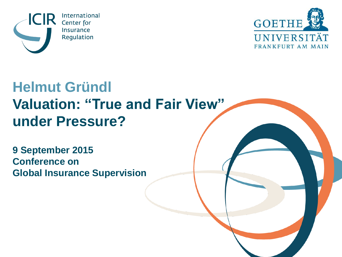



#### **Helmut Gründl Valuation: "True and Fair View" under Pressure?**

**9 September 2015 Conference on Global Insurance Supervision**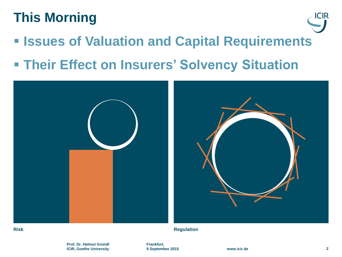#### **This Morning**

- **Example 3 Issues of Valuation and Capital Requirements**
- **Their Effect on Insurers' Solvency Situation**



**Risk Regulation**

ICIR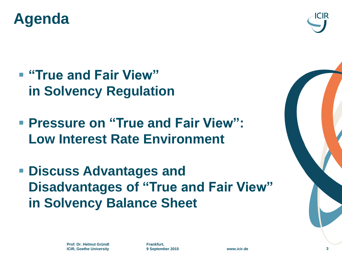



- **"True and Fair View" in Solvency Regulation**
- **Pressure on "True and Fair View": Low Interest Rate Environment**
- **Discuss Advantages and Disadvantages of "True and Fair View" in Solvency Balance Sheet**

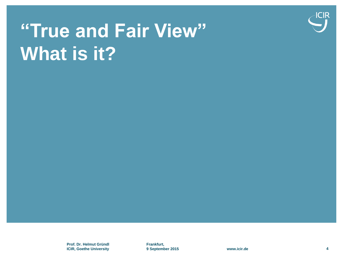

# **"True and Fair View" What is it?**

**Prof. Dr. Helmut Gründl ICIR, Goethe University**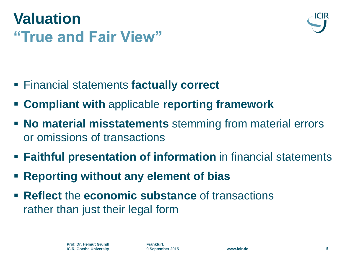# **Valuation "True and Fair View"**



- Financial statements **factually correct**
- **Compliant with** applicable **reporting framework**
- **No material misstatements** stemming from material errors or omissions of transactions
- **Faithful presentation of information** in financial statements
- **Reporting without any element of bias**
- **Reflect the economic substance** of transactions rather than just their legal form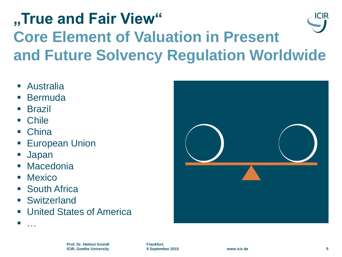#### **"True and Fair View"**  ICIR **Core Element of Valuation in Present and Future Solvency Regulation Worldwide**

- Australia
- **Bermuda**
- Brazil
- Chile
- China
- European Union
- Japan
- **Macedonia**
- **Mexico**

**।**<br>संस्कृत

- South Africa
- **Switzerland**
- **United States of America**

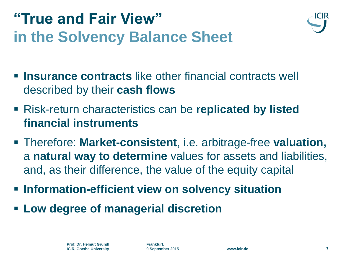## **"True and Fair View" in the Solvency Balance Sheet**



- **Insurance contracts** like other financial contracts well described by their **cash flows**
- Risk-return characteristics can be **replicated by listed financial instruments**
- Therefore: **Market-consistent**, i.e. arbitrage-free **valuation,** a **natural way to determine** values for assets and liabilities, and, as their difference, the value of the equity capital
- **Information-efficient view on solvency situation**
- **Low degree of managerial discretion**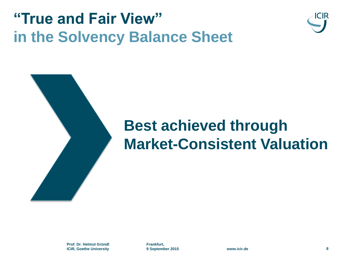### **"True and Fair View" in the Solvency Balance Sheet**





# **Best achieved through Market-Consistent Valuation**

**Prof. Dr. Helmut Gründl ICIR, Goethe University**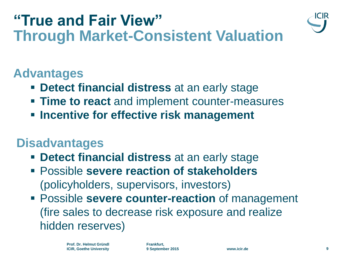#### **"True and Fair View" Through Market-Consistent Valuation**



#### **Advantages**

- **Detect financial distress** at an early stage
- **Time to react** and implement counter-measures
- **Incentive for effective risk management**

#### **Disadvantages**

- **Detect financial distress** at an early stage
- Possible **severe reaction of stakeholders** (policyholders, supervisors, investors)
- Possible **severe counter-reaction** of management (fire sales to decrease risk exposure and realize hidden reserves)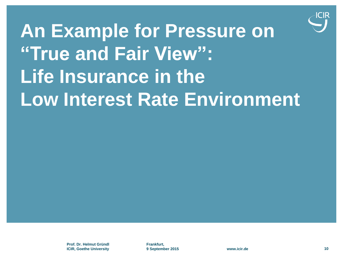

**An Example for Pressure on "True and Fair View": Life Insurance in the Low Interest Rate Environment**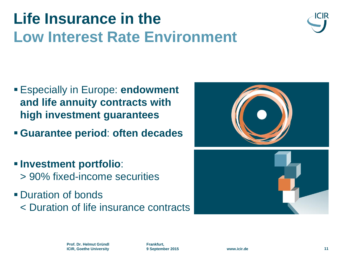

- Especially in Europe: **endowment and life annuity contracts with high investment guarantees**
- **Guarantee period**: **often decades**
- **Investment portfolio**: > 90% fixed-income securities
- **Duration of bonds** < Duration of life insurance contracts

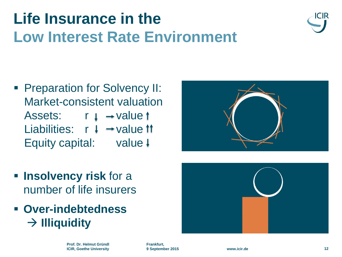

**Preparation for Solvency II:** Market-consistent valuation Assets:  $r \downarrow \rightarrow$  value t Liabilities:  $r + \rightarrow$  value 11 Equity capital: value  $\downarrow$ 



- **Insolvency risk for a** number of life insurers
- **Over-indebtedness**  $\rightarrow$  **Illiquidity**

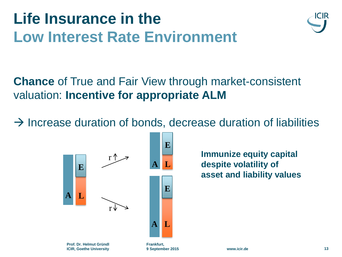

**Chance** of True and Fair View through market-consistent valuation: **Incentive for appropriate ALM** 

 $\rightarrow$  Increase duration of bonds, decrease duration of liabilities



**Immunize equity capital despite volatility of asset and liability values**

**9 September 2015 www.icir.de 13**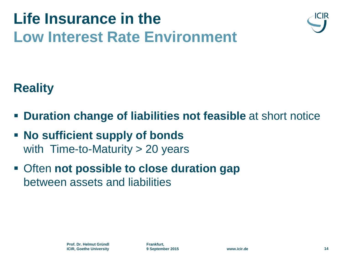



#### **Reality**

- **Duration change of liabilities not feasible** at short notice
- **No sufficient supply of bonds**  with Time-to-Maturity > 20 years
- Often **not possible to close duration gap**  between assets and liabilities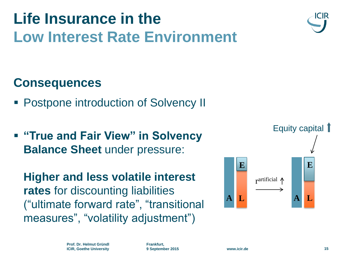#### **Consequences**

- Postpone introduction of Solvency II
- $\blacksquare$  **"True and Fair View" in Solvency Balance Sheet** under pressure:

**Higher and less volatile interest rates** for discounting liabilities ("ultimate forward rate", "transitional measures", "volatility adjustment")



**A L**

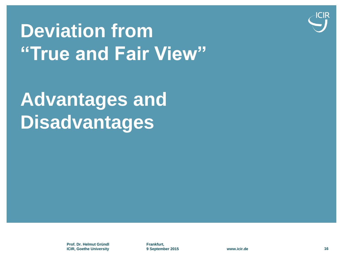

# **Deviation from "True and Fair View"**

# **Advantages and Disadvantages**

**Prof. Dr. Helmut Gründl ICIR, Goethe University**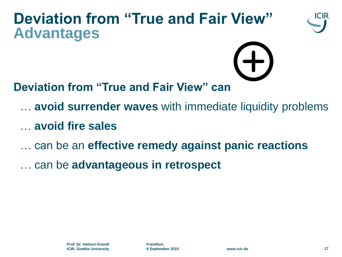#### **Deviation from "True and Fair View" Advantages**





**Deviation from "True and Fair View" can** 

- … **avoid surrender waves** with immediate liquidity problems
- … **avoid fire sales**
- … can be an **effective remedy against panic reactions**
- … can be **advantageous in retrospect**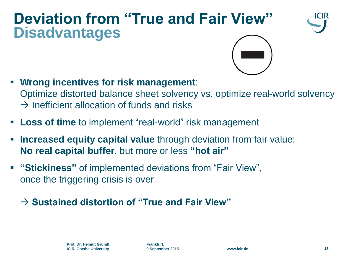#### **Deviation from "True and Fair View" Disadvantages**





- **Wrong incentives for risk management**: Optimize distorted balance sheet solvency vs. optimize real-world solvency  $\rightarrow$  Inefficient allocation of funds and risks
- **Loss of time** to implement "real-world" risk management
- **Increased equity capital value** through deviation from fair value: **No real capital buffer**, but more or less **"hot air"**
- **"Stickiness"** of implemented deviations from "Fair View", once the triggering crisis is over

#### $\rightarrow$  Sustained distortion of "True and Fair View"